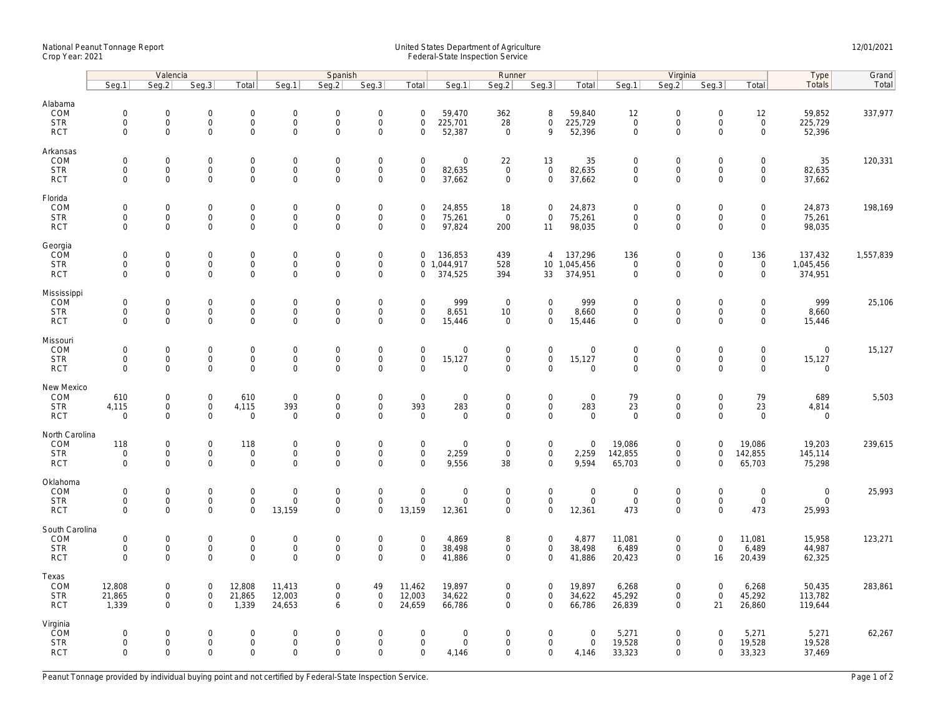## National Peanut Tonnage Report United States Department of Agriculture 12/01/2021<br>Crop Year: 2021 Federal-State Inspection Service

|                                                   | Valencia                                          |                                                           |                                                   |                                                 | Spanish                                   |                                           |                                                           |                                                   |                                              | Runner                                    |                                                           |                                      | Virginia                             |                                                        |                                                   |                                                        | Type                                    | Grand     |
|---------------------------------------------------|---------------------------------------------------|-----------------------------------------------------------|---------------------------------------------------|-------------------------------------------------|-------------------------------------------|-------------------------------------------|-----------------------------------------------------------|---------------------------------------------------|----------------------------------------------|-------------------------------------------|-----------------------------------------------------------|--------------------------------------|--------------------------------------|--------------------------------------------------------|---------------------------------------------------|--------------------------------------------------------|-----------------------------------------|-----------|
|                                                   | Seq.1                                             | Seq.2                                                     | Seg.3                                             | Total                                           | Seg.1                                     | Seq.2                                     | Seg.3                                                     | Total                                             | Seg.1                                        | Seq.2                                     | Seg.3                                                     | Total                                | Seg.1                                | Seq.2                                                  | Seq.3                                             | Total                                                  | Totals                                  | Total     |
| Alabama<br>COM<br><b>STR</b><br><b>RCT</b>        | $\mathsf{O}\xspace$<br>$\mathbf 0$<br>$\mathbf 0$ | $\mathsf 0$<br>$\mathsf{O}\xspace$<br>$\mathbf 0$         | $\mathsf{O}\xspace$<br>$\mathbf 0$<br>$\mathbf 0$ | 0<br>$\mathsf{O}\xspace$<br>$\mathsf{O}\xspace$ | $\mathbf 0$<br>$\mathbf 0$<br>$\mathbf 0$ | 0<br>0<br>$\mathbf 0$                     | $\boldsymbol{0}$<br>$\mathsf{O}\xspace$<br>$\mathsf{O}$   | $\mathsf 0$<br>$\mathbf{0}$<br>$\mathsf 0$        | 59,470<br>225,701<br>52,387                  | 362<br>28<br>$\mathbf 0$                  | 8<br>$\mathsf{O}\xspace$<br>9                             | 59,840<br>225,729<br>52,396          | 12<br>$\mathbf 0$<br>0               | $\overline{0}$<br>$\mathsf{O}\xspace$<br>$\mathbf 0$   | $\mathsf 0$<br>$\mathsf{O}\xspace$<br>$\mathbf 0$ | 12<br>$\mathsf{O}\xspace$<br>$\mathsf 0$               | 59,852<br>225,729<br>52,396             | 337,977   |
| Arkansas<br>COM<br><b>STR</b><br><b>RCT</b>       | $\mathbf 0$<br>$\mathbf 0$<br>$\mathbf 0$         | 0<br>$\mathbf 0$<br>$\mathbf 0$                           | $\mathbf 0$<br>$\mathbf 0$<br>$\mathbf 0$         | 0<br>$\mathbf 0$<br>$\mathbf 0$                 | $\mathbf 0$<br>$\mathbf 0$<br>$\mathbf 0$ | 0<br>$\mathbf{O}$<br>$\mathbf 0$          | $\mathbf 0$<br>$\mathbf 0$<br>$\mathbf 0$                 | $\mathbf 0$<br>$\mathbf{0}$<br>$\mathsf 0$        | $\mathbf 0$<br>82,635<br>37,662              | 22<br>$\mathbf{0}$<br>$\mathbf 0$         | 13<br>$\mathbf 0$<br>$\mathbf 0$                          | 35<br>82,635<br>37,662               | $\Omega$<br>$\overline{0}$<br>0      | $\mathbf 0$<br>$\mathbf 0$<br>$\mathsf 0$              | $\mathsf 0$<br>$\mathbf{0}$<br>$\mathsf 0$        | $\mathbf 0$<br>$\mathsf 0$<br>$\mathsf{O}\xspace$      | 35<br>82,635<br>37,662                  | 120,331   |
| Florida<br>COM<br><b>STR</b><br><b>RCT</b>        | $\mathsf{O}\xspace$<br>$\mathbf 0$<br>$\Omega$    | $\mathsf 0$<br>$\mathsf 0$<br>$\Omega$                    | $\mathsf{O}\xspace$<br>$\mathbf 0$<br>$\Omega$    | 0<br>$\mathbf 0$<br>0                           | 0<br>$\mathbf 0$<br>$\Omega$              | $\overline{0}$<br>$\mathbf 0$<br>$\Omega$ | $\boldsymbol{0}$<br>$\mathsf{O}$<br>$\mathsf 0$           | $\mathbf 0$<br>$\mathsf 0$<br>$\mathbf 0$         | 24,855<br>75,261<br>97,824                   | 18<br>$\mathsf 0$<br>200                  | $\mathbf 0$<br>$\mathsf 0$<br>11                          | 24,873<br>75,261<br>98,035           | 0<br>0<br>0                          | $\mathbf 0$<br>$\mathsf{O}\xspace$<br>$\mathsf 0$      | $\mathsf 0$<br>$\mathbf 0$<br>$\Omega$            | $\mathbf 0$<br>$\boldsymbol{0}$<br>$\mathsf{O}\xspace$ | 24,873<br>75,261<br>98,035              | 198,169   |
| Georgia<br>COM<br><b>STR</b><br><b>RCT</b>        | $\mathsf{O}\xspace$<br>$\mathbf 0$<br>$\mathbf 0$ | 0<br>$\mathsf{O}\xspace$<br>$\mathbf 0$                   | $\mathsf{O}\xspace$<br>$\mathbf 0$<br>$\mathbf 0$ | 0<br>0<br>$\mathbf 0$                           | $\mathbf 0$<br>$\mathbf 0$<br>$\mathbf 0$ | 0<br>0<br>0                               | $\mathsf{O}$<br>$\mathsf{O}$<br>$\mathbf 0$               | $\mathbf 0$<br>$\mathbf{0}$<br>$\mathbf 0$        | 136,853<br>1,044,917<br>374,525              | 439<br>528<br>394                         | $\overline{4}$<br>33                                      | 137,296<br>10 1,045,456<br>374,951   | 136<br>$\mathbf 0$<br>$\overline{0}$ | $\boldsymbol{0}$<br>$\mathsf{O}\xspace$<br>$\mathbf 0$ | $\mathsf 0$<br>$\mathsf{O}\xspace$<br>$\mathbf 0$ | 136<br>$\mathsf{O}$<br>$\mathbf 0$                     | 137,432<br>1,045,456<br>374,951         | 1,557,839 |
| Mississippi<br>COM<br><b>STR</b><br><b>RCT</b>    | $\mathbf 0$<br>$\mathsf{O}\xspace$<br>$\mathbf 0$ | 0<br>$\mathsf{O}\xspace$<br>$\mathbf 0$                   | $\mathbf 0$<br>$\mathbf 0$<br>$\mathbf 0$         | 0<br>$\mathsf{O}\xspace$<br>$\mathbf 0$         | $\mathbf 0$<br>$\mathbf 0$<br>$\mathbf 0$ | $\Omega$<br>$\mathbf 0$<br>$\mathbf 0$    | $\mathbf 0$<br>$\mathsf{O}$<br>$\mathbf 0$                | $\mathbf 0$<br>$\mathsf 0$<br>$\mathbf 0$         | 999<br>8,651<br>15,446                       | $\overline{0}$<br>10<br>$\mathbf 0$       | $\mathbf 0$<br>$\mathsf{O}\xspace$<br>$\mathbf 0$         | 999<br>8,660<br>15,446               | $\mathbf{0}$<br>0<br>0               | $\mathsf 0$<br>$\mathsf{O}\xspace$<br>$\mathbf 0$      | $\mathsf{O}$<br>$\mathbf 0$<br>$\mathbf 0$        | $\mathbf 0$<br>$\mathsf{O}\xspace$<br>$\mathbf 0$      | 999<br>8,660<br>15,446                  | 25,106    |
| Missouri<br>COM<br><b>STR</b><br><b>RCT</b>       | $\mathbf 0$<br>$\mathsf{O}\xspace$<br>$\mathbf 0$ | $\Omega$<br>$\mathsf 0$<br>$\mathbf 0$                    | $\mathbf 0$<br>$\mathbf 0$<br>$\mathbf 0$         | $\mathbf 0$<br>$\mathbf 0$<br>0                 | $\Omega$<br>$\mathbf 0$<br>$\mathbf 0$    | $\Omega$<br>$\mathbf 0$<br>0              | $\mathbf 0$<br>$\mathsf{O}$<br>$\mathbf 0$                | $\mathbf 0$<br>$\mathsf 0$<br>$\mathbf 0$         | $\mathbf 0$<br>15,127<br>$\mathbf 0$         | $\mathbf 0$<br>$\mathsf 0$<br>$\mathbf 0$ | $\mathbf 0$<br>$\mathbf 0$<br>$\mathbf 0$                 | $\mathbf 0$<br>15,127<br>0           | $\mathbf{0}$<br>0<br>0               | $\mathbf 0$<br>$\mathsf 0$<br>$\mathbf 0$              | $\mathbf 0$<br>$\mathbf 0$<br>$\mathsf 0$         | $\mathbf{0}$<br>$\mathsf{O}\xspace$<br>$\mathbf 0$     | $\overline{0}$<br>15,127<br>$\mathbf 0$ | 15,127    |
| New Mexico<br>COM<br><b>STR</b><br><b>RCT</b>     | 610<br>4,115<br>$\mathbf{0}$                      | 0<br>$\mathsf{O}\xspace$<br>$\mathbf 0$                   | $\mathsf{O}\xspace$<br>$\mathbf 0$<br>$\mathbf 0$ | 610<br>4,115<br>$\mathbf 0$                     | $\mathsf 0$<br>393<br>$\mathbf 0$         | 0<br>0<br>$\mathbf 0$                     | $\begin{smallmatrix}0\\0\end{smallmatrix}$<br>$\mathbf 0$ | $\mathsf 0$<br>393<br>$\mathbf 0$                 | $\mathbf 0$<br>283<br>$\mathbf 0$            | $\mathsf 0$<br>$\mathbf 0$<br>$\mathbf 0$ | $\mathsf{O}\xspace$<br>$\mathsf{O}\xspace$<br>$\mathbf 0$ | $\mathsf 0$<br>283<br>$\mathbf 0$    | 79<br>23<br>$\mathbf 0$              | $\mathbf 0$<br>$\mathsf{O}$<br>$\mathsf 0$             | $\mathsf 0$<br>$\mathsf{O}$<br>$\mathbf 0$        | 79<br>23<br>$\mathbf 0$                                | 689<br>4,814<br>$\mathbf 0$             | 5,503     |
| North Carolina<br>COM<br><b>STR</b><br><b>RCT</b> | 118<br>$\mathbf{0}$<br>$\mathbf 0$                | 0<br>$\mathsf{O}\xspace$<br>$\mathbf 0$                   | $\mathsf{O}\xspace$<br>$\mathbf 0$<br>$\mathbf 0$ | 118<br>0<br>0                                   | $\mathbf 0$<br>$\mathbf 0$<br>0           | 0<br>$\mathbf 0$<br>0                     | $\boldsymbol{0}$<br>$\mathsf{O}\xspace$<br>$\mathbf 0$    | $\mathbf 0$<br>$\mathbf 0$<br>$\mathbf 0$         | $\mathbf 0$<br>2,259<br>9,556                | $\mathbf 0$<br>$\mathbf 0$<br>38          | $\mathsf{O}\xspace$<br>$\mathsf{O}\xspace$<br>$\mathbf 0$ | $\mathbf 0$<br>2,259<br>9,594        | 19,086<br>142,855<br>65,703          | $\boldsymbol{0}$<br>$\mathbf 0$<br>$\mathsf 0$         | $\mathbf 0$<br>$\mathbf 0$<br>$\mathbf 0$         | 19,086<br>142,855<br>65,703                            | 19,203<br>145,114<br>75,298             | 239,615   |
| Oklahoma<br>COM<br><b>STR</b><br><b>RCT</b>       | $\mathsf{O}\xspace$<br>$\mathbf 0$<br>$\mathbf 0$ | $\mathsf{O}\xspace$<br>$\mathsf{O}\xspace$<br>$\mathbf 0$ | $\mathsf{O}\xspace$<br>$\mathbf 0$<br>$\mathbf 0$ | 0<br>$\mathsf{O}$<br>0                          | $\mathbf 0$<br>$\mathbf 0$<br>13,159      | 0<br>$\mathbf 0$<br>$\mathbf 0$           | $\mathsf{O}$<br>$\mathsf{O}$<br>$\mathbf 0$               | $\mathbf 0$<br>$\mathbf 0$<br>13,159              | $\mathsf{O}\xspace$<br>$\mathbf 0$<br>12,361 | $\mathbf 0$<br>$\mathsf 0$<br>$\mathbf 0$ | $\mathsf{O}\xspace$<br>$\mathsf{O}$<br>$\mathbf 0$        | $\mathsf 0$<br>$\mathsf 0$<br>12,361 | $\mathbf 0$<br>$\mathbf 0$<br>473    | $\boldsymbol{0}$<br>$\mathsf 0$<br>$\mathbf 0$         | $\mathsf 0$<br>$\mathsf 0$<br>$\mathbf 0$         | $\boldsymbol{0}$<br>$\mathsf{O}$<br>473                | $\overline{0}$<br>$\mathbf 0$<br>25,993 | 25,993    |
| South Carolina<br>COM<br><b>STR</b><br><b>RCT</b> | $\mathsf{O}\xspace$<br>$\mathbf 0$<br>$\Omega$    | $\mathsf{O}\xspace$<br>$\mathsf 0$<br>$\Omega$            | $\mathsf{O}\xspace$<br>$\mathbf 0$<br>$\Omega$    | 0<br>0<br>$\overline{0}$                        | 0<br>$\mathbf 0$<br>$\Omega$              | 0<br>$\mathbf 0$<br>$\Omega$              | $\mathsf{O}$<br>$\mathsf{O}$<br>$\mathbf 0$               | $\mathbf 0$<br>$\mathsf 0$<br>$\Omega$            | 4,869<br>38,498<br>41,886                    | 8<br>$\mathsf 0$<br>$\Omega$              | $\mathsf{O}\xspace$<br>$\mathsf 0$<br>$\mathbf 0$         | 4,877<br>38,498<br>41,886            | 11,081<br>6,489<br>20,423            | $\mathbf 0$<br>$\mathsf 0$<br>$\mathbf 0$              | $\mathsf 0$<br>$\mathsf 0$<br>16                  | 11,081<br>6,489<br>20,439                              | 15,958<br>44,987<br>62,325              | 123,271   |
| Texas<br>COM<br><b>STR</b><br><b>RCT</b>          | 12,808<br>21,865<br>1,339                         | 0<br>$\mathsf{O}\xspace$<br>$\mathbf 0$                   | $\mathbf 0$<br>$\mathsf 0$<br>$\mathbf{0}$        | 12,808<br>21,865<br>1,339                       | 11,413<br>12,003<br>24,653                | 0<br>0<br>6                               | 49<br>$\mathsf{O}\xspace$<br>$\mathbf 0$                  | 11,462<br>12,003<br>24,659                        | 19,897<br>34,622<br>66,786                   | 0<br>$\mathbf 0$<br>0                     | $\mathbf 0$<br>$\mathsf{O}\xspace$<br>$\mathbf 0$         | 19,897<br>34,622<br>66,786           | 6,268<br>45,292<br>26,839            | $\mathbf 0$<br>$\mathbf 0$<br>$\mathbf 0$              | $\mathbf 0$<br>$\mathsf 0$<br>21                  | 6,268<br>45,292<br>26,860                              | 50,435<br>113,782<br>119,644            | 283,861   |
| Virginia<br>COM<br><b>STR</b><br><b>RCT</b>       | $\Omega$<br>$\mathsf{O}\xspace$<br>$\mathbf 0$    | $\mathbf 0$<br>$\mathsf 0$<br>$\mathbf 0$                 | $\mathbf 0$<br>$\mathsf{O}\xspace$<br>$\mathbf 0$ | $\mathbf 0$<br>0<br>$\mathbf 0$                 | $\mathbf 0$<br>$\mathbf 0$<br>0           | $\Omega$<br>$\mathbf 0$<br>$\Omega$       | $\mathbf 0$<br>$\mathsf{O}$<br>$\mathbf 0$                | $\mathbf 0$<br>$\mathsf{O}\xspace$<br>$\mathbf 0$ | $\mathbf 0$<br>$\mathbf 0$<br>4,146          | $\mathbf 0$<br>$\mathbf 0$<br>0           | $\mathbf 0$<br>$\mathbf 0$<br>$\mathbf 0$                 | $\Omega$<br>$\mathsf 0$<br>4,146     | 5,271<br>19,528<br>33,323            | $\Omega$<br>$\mathsf 0$<br>$\mathbf 0$                 | $\Omega$<br>$\mathsf 0$<br>$\mathbf 0$            | 5,271<br>19,528<br>33,323                              | 5,271<br>19,528<br>37,469               | 62,267    |

Peanut Tonnage provided by individual buying point and not certified by Federal-State Inspection Service. Page 1 of 2